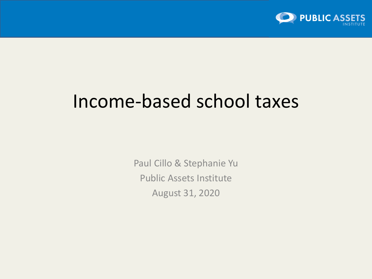

# Income-based school taxes

Paul Cillo & Stephanie Yu Public Assets Institute August 31, 2020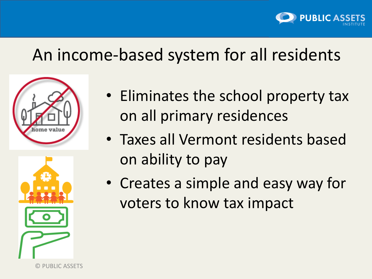

# An income-based system for all residents





© PUBLIC ASSETS

- Eliminates the school property tax on all primary residences
- Taxes all Vermont residents based on ability to pay
- Creates a simple and easy way for voters to know tax impact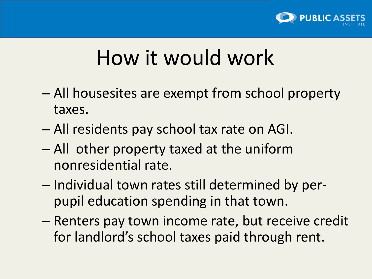

# How it would work

- All housesites are exempt from school property taxes.
- All residents pay school tax rate on AGI.
- All other property taxed at the uniform nonresidential rate.
- Individual town rates still determined by perpupil education spending in that town.
- Renters pay town income rate, but receive credit for landlord's school taxes paid through rent.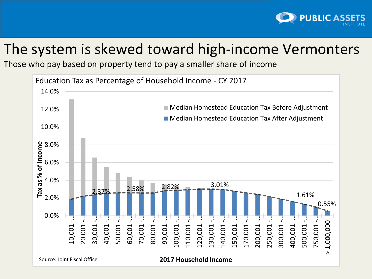

### The system is skewed toward high-income Vermonters

Those who pay based on property tend to pay a smaller share of income

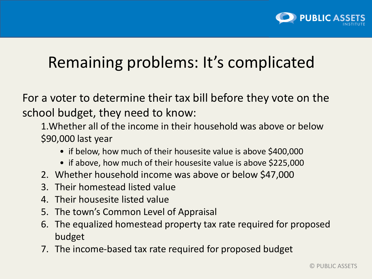

# Remaining problems: It's complicated

For a voter to determine their tax bill before they vote on the school budget, they need to know:

1.Whether all of the income in their household was above or below \$90,000 last year

- if below, how much of their housesite value is above \$400,000
- if above, how much of their housesite value is above \$225,000
- 2. Whether household income was above or below \$47,000
- 3. Their homestead listed value
- 4. Their housesite listed value
- 5. The town's Common Level of Appraisal
- 6. The equalized homestead property tax rate required for proposed budget
- 7. The income-based tax rate required for proposed budget